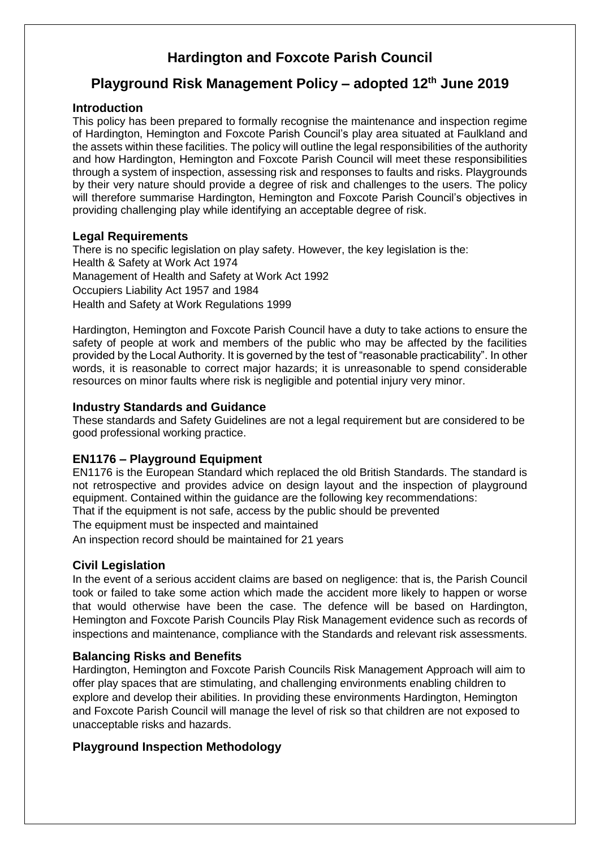# **Hardington and Foxcote Parish Council**

## **Playground Risk Management Policy – adopted 12th June 2019**

### **Introduction**

This policy has been prepared to formally recognise the maintenance and inspection regime of Hardington, Hemington and Foxcote Parish Council's play area situated at Faulkland and the assets within these facilities. The policy will outline the legal responsibilities of the authority and how Hardington, Hemington and Foxcote Parish Council will meet these responsibilities through a system of inspection, assessing risk and responses to faults and risks. Playgrounds by their very nature should provide a degree of risk and challenges to the users. The policy will therefore summarise Hardington, Hemington and Foxcote Parish Council's objectives in providing challenging play while identifying an acceptable degree of risk.

#### **Legal Requirements**

There is no specific legislation on play safety. However, the key legislation is the: Health & Safety at Work Act 1974 Management of Health and Safety at Work Act 1992 Occupiers Liability Act 1957 and 1984 Health and Safety at Work Regulations 1999

Hardington, Hemington and Foxcote Parish Council have a duty to take actions to ensure the safety of people at work and members of the public who may be affected by the facilities provided by the Local Authority. It is governed by the test of "reasonable practicability". In other words, it is reasonable to correct major hazards; it is unreasonable to spend considerable resources on minor faults where risk is negligible and potential injury very minor.

#### **Industry Standards and Guidance**

These standards and Safety Guidelines are not a legal requirement but are considered to be good professional working practice.

## **EN1176 – Playground Equipment**

EN1176 is the European Standard which replaced the old British Standards. The standard is not retrospective and provides advice on design layout and the inspection of playground equipment. Contained within the guidance are the following key recommendations:

That if the equipment is not safe, access by the public should be prevented

The equipment must be inspected and maintained

An inspection record should be maintained for 21 years

## **Civil Legislation**

In the event of a serious accident claims are based on negligence: that is, the Parish Council took or failed to take some action which made the accident more likely to happen or worse that would otherwise have been the case. The defence will be based on Hardington, Hemington and Foxcote Parish Councils Play Risk Management evidence such as records of inspections and maintenance, compliance with the Standards and relevant risk assessments.

## **Balancing Risks and Benefits**

Hardington, Hemington and Foxcote Parish Councils Risk Management Approach will aim to offer play spaces that are stimulating, and challenging environments enabling children to explore and develop their abilities. In providing these environments Hardington, Hemington and Foxcote Parish Council will manage the level of risk so that children are not exposed to unacceptable risks and hazards.

## **Playground Inspection Methodology**